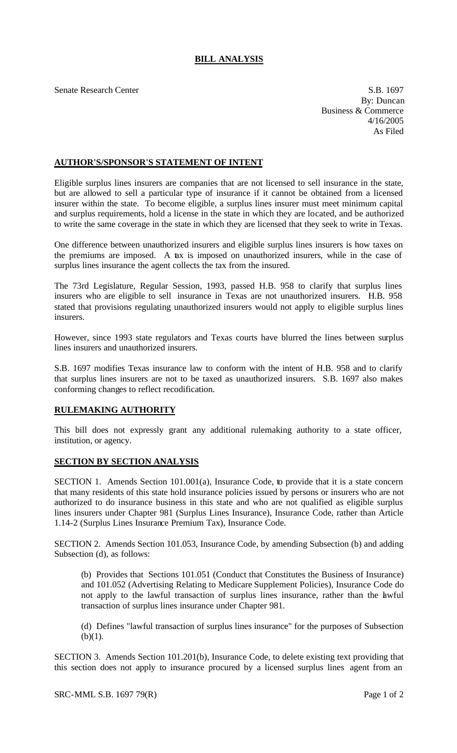## **BILL ANALYSIS**

Senate Research Center S.B. 1697

By: Duncan Business & Commerce 4/16/2005 As Filed

## **AUTHOR'S/SPONSOR'S STATEMENT OF INTENT**

Eligible surplus lines insurers are companies that are not licensed to sell insurance in the state, but are allowed to sell a particular type of insurance if it cannot be obtained from a licensed insurer within the state. To become eligible, a surplus lines insurer must meet minimum capital and surplus requirements, hold a license in the state in which they are located, and be authorized to write the same coverage in the state in which they are licensed that they seek to write in Texas.

One difference between unauthorized insurers and eligible surplus lines insurers is how taxes on the premiums are imposed. A tax is imposed on unauthorized insurers, while in the case of surplus lines insurance the agent collects the tax from the insured.

The 73rd Legislature, Regular Session, 1993, passed H.B. 958 to clarify that surplus lines insurers who are eligible to sell insurance in Texas are not unauthorized insurers. H.B. 958 stated that provisions regulating unauthorized insurers would not apply to eligible surplus lines insurers.

However, since 1993 state regulators and Texas courts have blurred the lines between surplus lines insurers and unauthorized insurers.

S.B. 1697 modifies Texas insurance law to conform with the intent of H.B. 958 and to clarify that surplus lines insurers are not to be taxed as unauthorized insurers. S.B. 1697 also makes conforming changes to reflect recodification.

## **RULEMAKING AUTHORITY**

This bill does not expressly grant any additional rulemaking authority to a state officer, institution, or agency.

## **SECTION BY SECTION ANALYSIS**

SECTION 1. Amends Section 101.001(a), Insurance Code, to provide that it is a state concern that many residents of this state hold insurance policies issued by persons or insurers who are not authorized to do insurance business in this state and who are not qualified as eligible surplus lines insurers under Chapter 981 (Surplus Lines Insurance), Insurance Code, rather than Article 1.14-2 (Surplus Lines Insurance Premium Tax), Insurance Code.

SECTION 2. Amends Section 101.053, Insurance Code, by amending Subsection (b) and adding Subsection (d), as follows:

(b) Provides that Sections 101.051 (Conduct that Constitutes the Business of Insurance) and 101.052 (Advertising Relating to Medicare Supplement Policies), Insurance Code do not apply to the lawful transaction of surplus lines insurance, rather than the lawful transaction of surplus lines insurance under Chapter 981.

(d) Defines "lawful transaction of surplus lines insurance" for the purposes of Subsection  $(b)(1)$ .

SECTION 3. Amends Section 101.201(b), Insurance Code, to delete existing text providing that this section does not apply to insurance procured by a licensed surplus lines agent from an